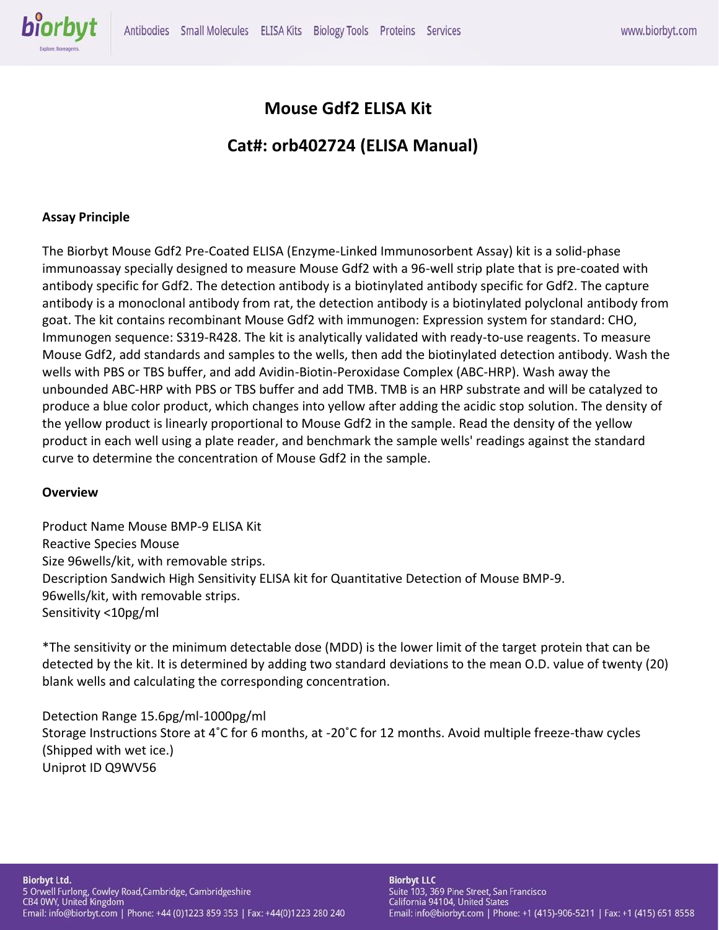

# **Mouse Gdf2 ELISA Kit**

# **Cat#: orb402724 (ELISA Manual)**

## **Assay Principle**

The Biorbyt Mouse Gdf2 Pre-Coated ELISA (Enzyme-Linked Immunosorbent Assay) kit is a solid-phase immunoassay specially designed to measure Mouse Gdf2 with a 96-well strip plate that is pre-coated with antibody specific for Gdf2. The detection antibody is a biotinylated antibody specific for Gdf2. The capture antibody is a monoclonal antibody from rat, the detection antibody is a biotinylated polyclonal antibody from goat. The kit contains recombinant Mouse Gdf2 with immunogen: Expression system for standard: CHO, Immunogen sequence: S319-R428. The kit is analytically validated with ready-to-use reagents. To measure Mouse Gdf2, add standards and samples to the wells, then add the biotinylated detection antibody. Wash the wells with PBS or TBS buffer, and add Avidin-Biotin-Peroxidase Complex (ABC-HRP). Wash away the unbounded ABC-HRP with PBS or TBS buffer and add TMB. TMB is an HRP substrate and will be catalyzed to produce a blue color product, which changes into yellow after adding the acidic stop solution. The density of the yellow product is linearly proportional to Mouse Gdf2 in the sample. Read the density of the yellow product in each well using a plate reader, and benchmark the sample wells' readings against the standard curve to determine the concentration of Mouse Gdf2 in the sample.

#### **Overview**

Product Name Mouse BMP-9 ELISA Kit Reactive Species Mouse Size 96wells/kit, with removable strips. Description Sandwich High Sensitivity ELISA kit for Quantitative Detection of Mouse BMP-9. 96wells/kit, with removable strips. Sensitivity <10pg/ml

\*The sensitivity or the minimum detectable dose (MDD) is the lower limit of the target protein that can be detected by the kit. It is determined by adding two standard deviations to the mean O.D. value of twenty (20) blank wells and calculating the corresponding concentration.

Detection Range 15.6pg/ml-1000pg/ml Storage Instructions Store at 4˚C for 6 months, at -20˚C for 12 months. Avoid multiple freeze-thaw cycles (Shipped with wet ice.) Uniprot ID Q9WV56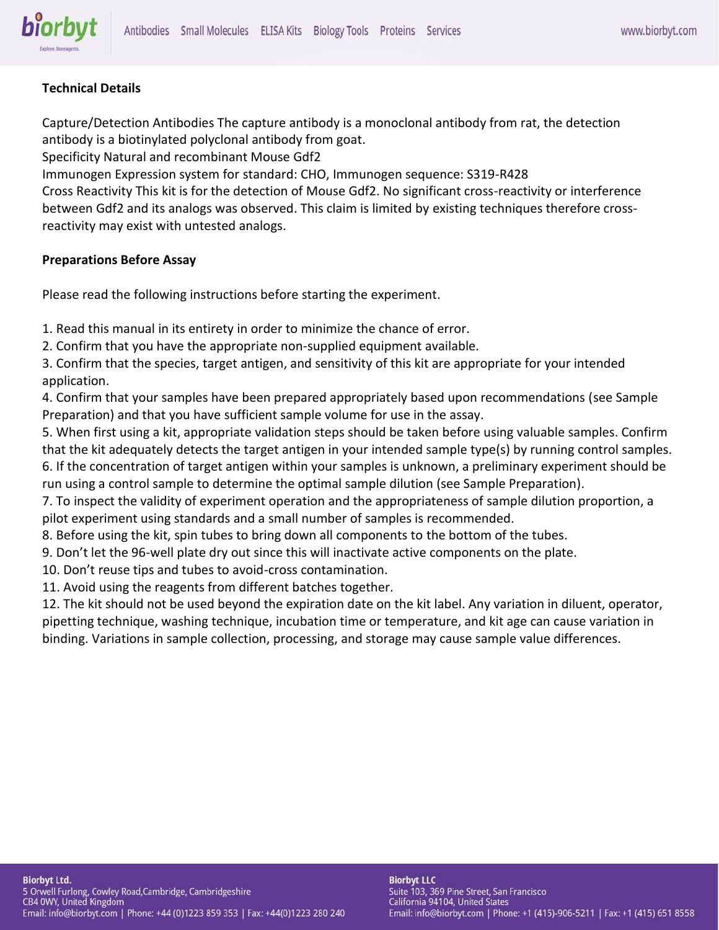# **Technical Details**

biorbyt

Capture/Detection Antibodies The capture antibody is a monoclonal antibody from rat, the detection antibody is a biotinylated polyclonal antibody from goat.

Specificity Natural and recombinant Mouse Gdf2

Immunogen Expression system for standard: CHO, Immunogen sequence: S319-R428

Cross Reactivity This kit is for the detection of Mouse Gdf2. No significant cross-reactivity or interference between Gdf2 and its analogs was observed. This claim is limited by existing techniques therefore crossreactivity may exist with untested analogs.

# **Preparations Before Assay**

Please read the following instructions before starting the experiment.

1. Read this manual in its entirety in order to minimize the chance of error.

2. Confirm that you have the appropriate non-supplied equipment available.

3. Confirm that the species, target antigen, and sensitivity of this kit are appropriate for your intended application.

4. Confirm that your samples have been prepared appropriately based upon recommendations (see Sample Preparation) and that you have sufficient sample volume for use in the assay.

5. When first using a kit, appropriate validation steps should be taken before using valuable samples. Confirm that the kit adequately detects the target antigen in your intended sample type(s) by running control samples. 6. If the concentration of target antigen within your samples is unknown, a preliminary experiment should be run using a control sample to determine the optimal sample dilution (see Sample Preparation).

7. To inspect the validity of experiment operation and the appropriateness of sample dilution proportion, a pilot experiment using standards and a small number of samples is recommended.

8. Before using the kit, spin tubes to bring down all components to the bottom of the tubes.

9. Don't let the 96-well plate dry out since this will inactivate active components on the plate.

10. Don't reuse tips and tubes to avoid-cross contamination.

11. Avoid using the reagents from different batches together.

12. The kit should not be used beyond the expiration date on the kit label. Any variation in diluent, operator, pipetting technique, washing technique, incubation time or temperature, and kit age can cause variation in binding. Variations in sample collection, processing, and storage may cause sample value differences.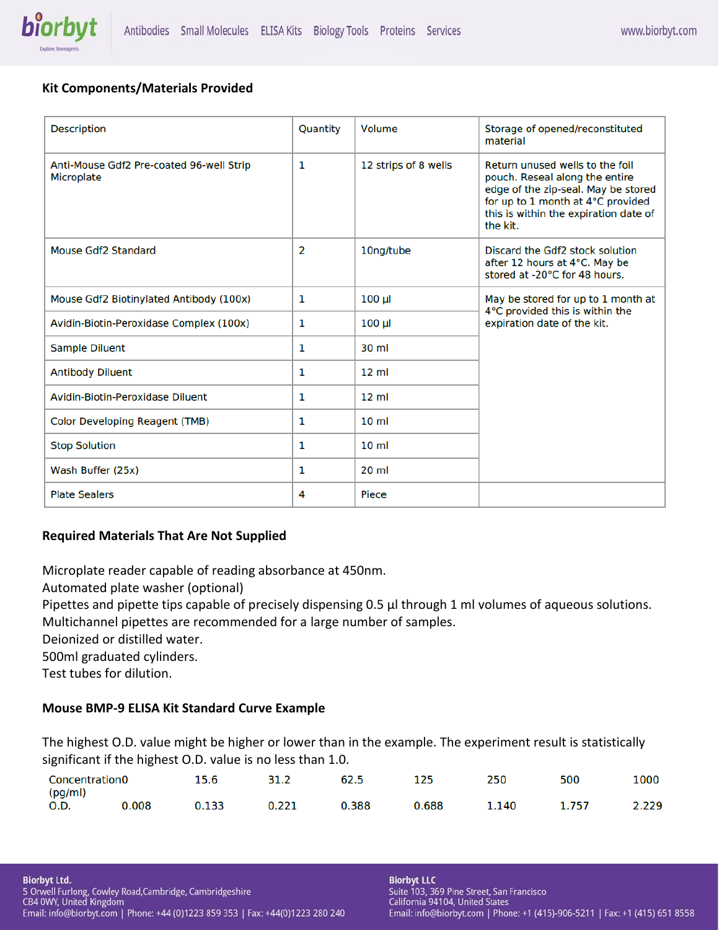

# **Kit Components/Materials Provided**

| <b>Description</b>                                            | Quantity       | Volume               | Storage of opened/reconstituted<br>material                                                                                                                                                        |
|---------------------------------------------------------------|----------------|----------------------|----------------------------------------------------------------------------------------------------------------------------------------------------------------------------------------------------|
| Anti-Mouse Gdf2 Pre-coated 96-well Strip<br><b>Microplate</b> | 1              | 12 strips of 8 wells | Return unused wells to the foil<br>pouch. Reseal along the entire<br>edge of the zip-seal. May be stored<br>for up to 1 month at 4°C provided<br>this is within the expiration date of<br>the kit. |
| Mouse Gdf2 Standard                                           | $\overline{2}$ | 10ng/tube            | Discard the Gdf2 stock solution<br>after 12 hours at 4°C. May be<br>stored at -20°C for 48 hours.                                                                                                  |
| Mouse Gdf2 Biotinylated Antibody (100x)                       | 1              | $100 \mu$            | May be stored for up to 1 month at<br>4°C provided this is within the                                                                                                                              |
| Avidin-Biotin-Peroxidase Complex (100x)                       | 1              | $100 \mu$            | expiration date of the kit.                                                                                                                                                                        |
| <b>Sample Diluent</b>                                         | 1              | $30 \mathrm{m}$      |                                                                                                                                                                                                    |
| <b>Antibody Diluent</b>                                       | 1              | $12 \text{ ml}$      |                                                                                                                                                                                                    |
| Avidin-Biotin-Peroxidase Diluent                              | 1              | $12 \text{ ml}$      |                                                                                                                                                                                                    |
| <b>Color Developing Reagent (TMB)</b>                         | 1              | 10 <sub>m</sub>      |                                                                                                                                                                                                    |
| <b>Stop Solution</b>                                          | 1              | 10 <sub>m</sub>      |                                                                                                                                                                                                    |
| Wash Buffer (25x)                                             | 1              | $20$ ml              |                                                                                                                                                                                                    |
| <b>Plate Sealers</b>                                          | 4              | Piece                |                                                                                                                                                                                                    |

# **Required Materials That Are Not Supplied**

Microplate reader capable of reading absorbance at 450nm.

Automated plate washer (optional)

Pipettes and pipette tips capable of precisely dispensing 0.5 μl through 1 ml volumes of aqueous solutions.

Multichannel pipettes are recommended for a large number of samples.

Deionized or distilled water.

500ml graduated cylinders.

Test tubes for dilution.

# **Mouse BMP-9 ELISA Kit Standard Curve Example**

The highest O.D. value might be higher or lower than in the example. The experiment result is statistically significant if the highest O.D. value is no less than 1.0.

| __<br><b>Concentration0</b> |       | 15.6  | 31.2  | 62.5  | 125   | 250   | 500   | 1000  |
|-----------------------------|-------|-------|-------|-------|-------|-------|-------|-------|
| (pg/ml)<br>0.D.             | 0.008 | 0.133 | 0.221 | 0.388 | 0.688 | 1.140 | 1.757 | 2.229 |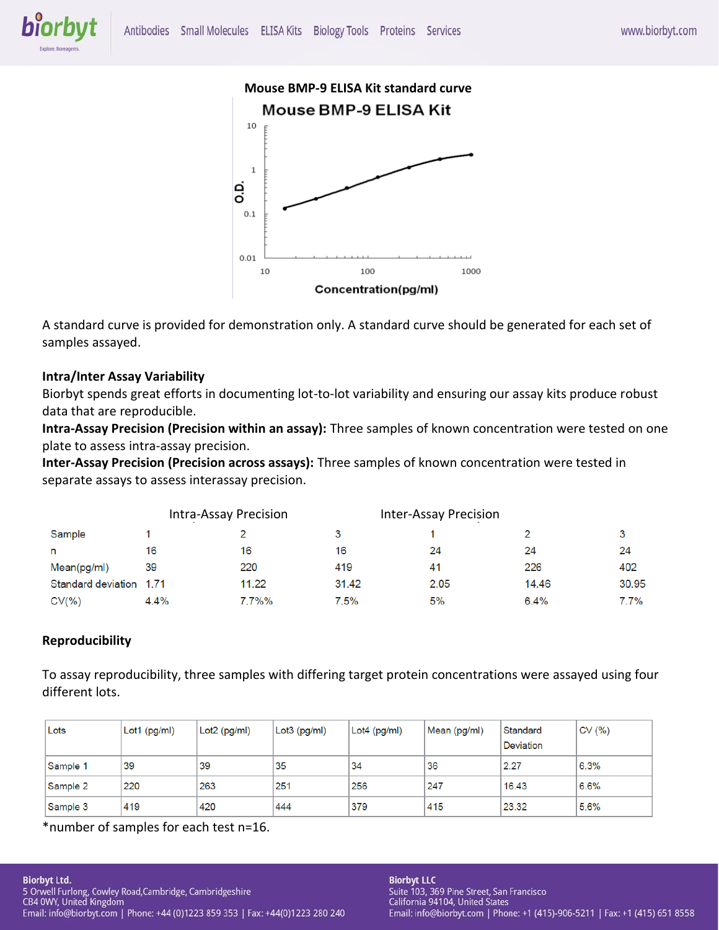



A standard curve is provided for demonstration only. A standard curve should be generated for each set of samples assayed.

# **Intra/Inter Assay Variability**

Biorbyt spends great efforts in documenting lot-to-lot variability and ensuring our assay kits produce robust data that are reproducible.

**Intra-Assay Precision (Precision within an assay):** Three samples of known concentration were tested on one plate to assess intra-assay precision.

**Inter-Assay Precision (Precision across assays):** Three samples of known concentration were tested in separate assays to assess interassay precision.

|                         | Intra-Assay Precision |           |       | <b>Inter-Assay Precision</b> |         |       |
|-------------------------|-----------------------|-----------|-------|------------------------------|---------|-------|
| Sample                  |                       |           |       |                              |         | 3     |
| n                       | 16                    | 16        | 16    | 24                           | 24      | 24    |
| Mean(pg/ml)             | 39                    | 220       | 419   | 41                           | 226     | 402   |
| Standard deviation 1.71 |                       | 11.22     | 31.42 | 2.05                         | 14.46   | 30.95 |
| CV(% )                  | 4.4%                  | $7.7\%$ % | 7.5%  | 5%                           | $6.4\%$ | 7.7%  |

# **Reproducibility**

To assay reproducibility, three samples with differing target protein concentrations were assayed using four different lots.

| Lots     | $Lot1$ (pg/ml) | Lot2 (pg/ml) | Lot3 (pg/ml) | $Lot4$ (pg/ml) | Mean (pg/ml) | Standard<br><b>Deviation</b> | CV(% ) |
|----------|----------------|--------------|--------------|----------------|--------------|------------------------------|--------|
| Sample 1 | 39             | 39           | 35           | 34             | 36           | 2.27                         | 6.3%   |
| Sample 2 | 220            | 263          | 251          | 256            | 247          | 16.43                        | 6.6%   |
| Sample 3 | 419            | 420          | 444          | 379            | 415          | 23.32                        | 5.6%   |

\*number of samples for each test n=16.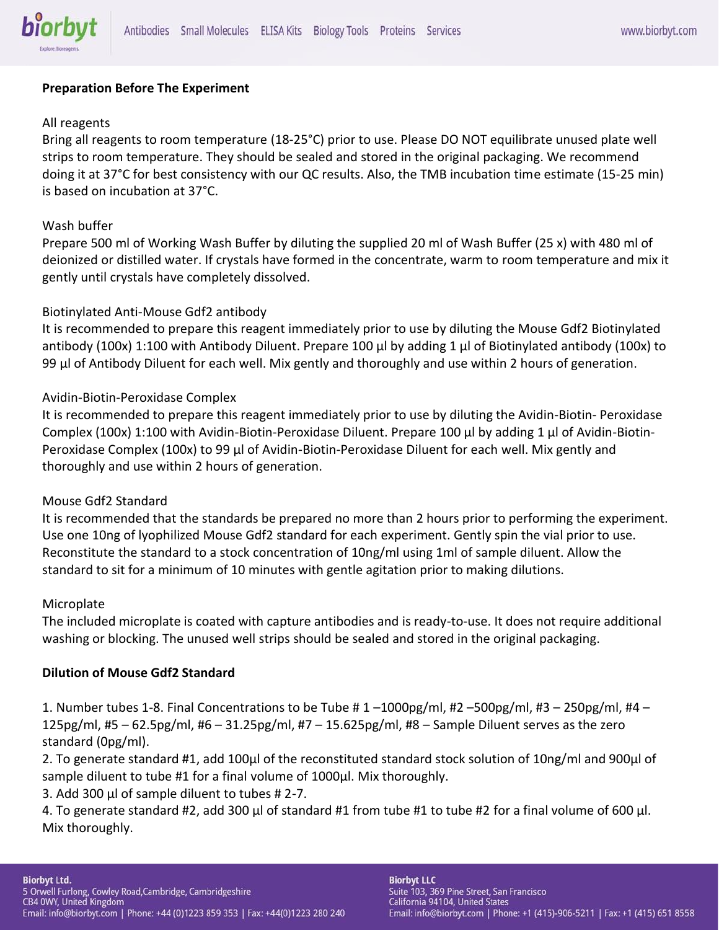

# **Preparation Before The Experiment**

### All reagents

Bring all reagents to room temperature (18-25°C) prior to use. Please DO NOT equilibrate unused plate well strips to room temperature. They should be sealed and stored in the original packaging. We recommend doing it at 37°C for best consistency with our QC results. Also, the TMB incubation time estimate (15-25 min) is based on incubation at 37°C.

### Wash buffer

Prepare 500 ml of Working Wash Buffer by diluting the supplied 20 ml of Wash Buffer (25 x) with 480 ml of deionized or distilled water. If crystals have formed in the concentrate, warm to room temperature and mix it gently until crystals have completely dissolved.

### Biotinylated Anti-Mouse Gdf2 antibody

It is recommended to prepare this reagent immediately prior to use by diluting the Mouse Gdf2 Biotinylated antibody (100x) 1:100 with Antibody Diluent. Prepare 100 μl by adding 1 μl of Biotinylated antibody (100x) to 99 μl of Antibody Diluent for each well. Mix gently and thoroughly and use within 2 hours of generation.

### Avidin-Biotin-Peroxidase Complex

It is recommended to prepare this reagent immediately prior to use by diluting the Avidin-Biotin- Peroxidase Complex (100x) 1:100 with Avidin-Biotin-Peroxidase Diluent. Prepare 100 μl by adding 1 μl of Avidin-Biotin-Peroxidase Complex (100x) to 99 μl of Avidin-Biotin-Peroxidase Diluent for each well. Mix gently and thoroughly and use within 2 hours of generation.

#### Mouse Gdf2 Standard

It is recommended that the standards be prepared no more than 2 hours prior to performing the experiment. Use one 10ng of lyophilized Mouse Gdf2 standard for each experiment. Gently spin the vial prior to use. Reconstitute the standard to a stock concentration of 10ng/ml using 1ml of sample diluent. Allow the standard to sit for a minimum of 10 minutes with gentle agitation prior to making dilutions.

#### **Microplate**

The included microplate is coated with capture antibodies and is ready-to-use. It does not require additional washing or blocking. The unused well strips should be sealed and stored in the original packaging.

#### **Dilution of Mouse Gdf2 Standard**

1. Number tubes 1-8. Final Concentrations to be Tube # 1 –1000pg/ml, #2 –500pg/ml, #3 – 250pg/ml, #4 – 125pg/ml, #5 – 62.5pg/ml, #6 – 31.25pg/ml, #7 – 15.625pg/ml, #8 – Sample Diluent serves as the zero standard (0pg/ml).

2. To generate standard #1, add 100μl of the reconstituted standard stock solution of 10ng/ml and 900μl of sample diluent to tube #1 for a final volume of 1000μl. Mix thoroughly.

3. Add 300 μl of sample diluent to tubes # 2-7.

4. To generate standard #2, add 300 μl of standard #1 from tube #1 to tube #2 for a final volume of 600 μl. Mix thoroughly.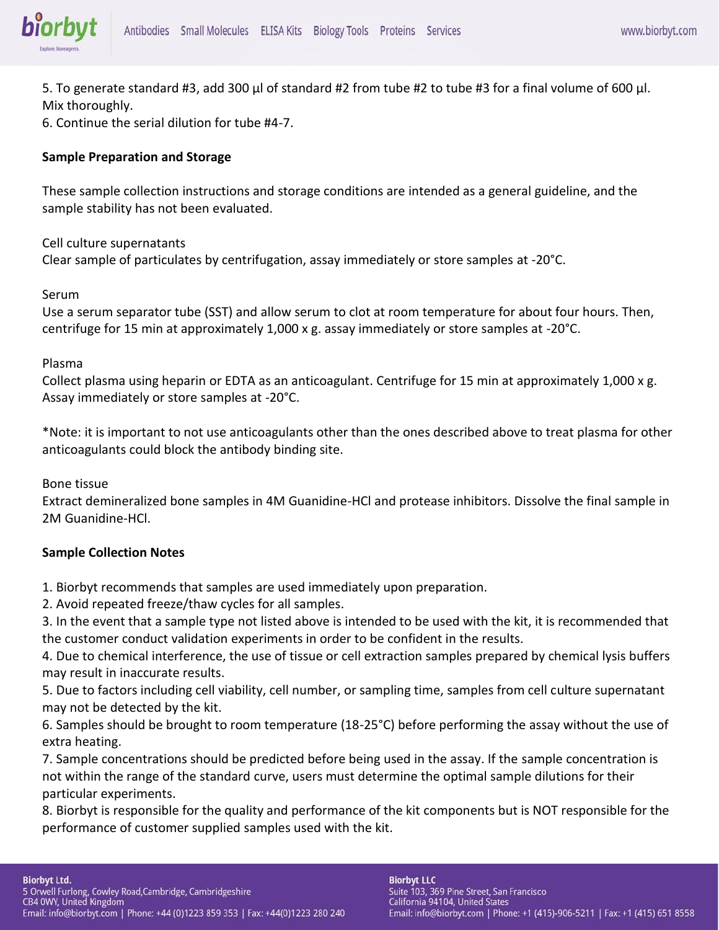

5. To generate standard #3, add 300 μl of standard #2 from tube #2 to tube #3 for a final volume of 600 μl. Mix thoroughly.

6. Continue the serial dilution for tube #4-7.

#### **Sample Preparation and Storage**

These sample collection instructions and storage conditions are intended as a general guideline, and the sample stability has not been evaluated.

#### Cell culture supernatants

Clear sample of particulates by centrifugation, assay immediately or store samples at -20°C.

#### Serum

Use a serum separator tube (SST) and allow serum to clot at room temperature for about four hours. Then, centrifuge for 15 min at approximately 1,000 x g. assay immediately or store samples at -20°C.

#### Plasma

Collect plasma using heparin or EDTA as an anticoagulant. Centrifuge for 15 min at approximately 1,000 x g. Assay immediately or store samples at -20°C.

\*Note: it is important to not use anticoagulants other than the ones described above to treat plasma for other anticoagulants could block the antibody binding site.

Bone tissue

Extract demineralized bone samples in 4M Guanidine-HCl and protease inhibitors. Dissolve the final sample in 2M Guanidine-HCl.

#### **Sample Collection Notes**

1. Biorbyt recommends that samples are used immediately upon preparation.

2. Avoid repeated freeze/thaw cycles for all samples.

3. In the event that a sample type not listed above is intended to be used with the kit, it is recommended that the customer conduct validation experiments in order to be confident in the results.

4. Due to chemical interference, the use of tissue or cell extraction samples prepared by chemical lysis buffers may result in inaccurate results.

5. Due to factors including cell viability, cell number, or sampling time, samples from cell culture supernatant may not be detected by the kit.

6. Samples should be brought to room temperature (18-25°C) before performing the assay without the use of extra heating.

7. Sample concentrations should be predicted before being used in the assay. If the sample concentration is not within the range of the standard curve, users must determine the optimal sample dilutions for their particular experiments.

8. Biorbyt is responsible for the quality and performance of the kit components but is NOT responsible for the performance of customer supplied samples used with the kit.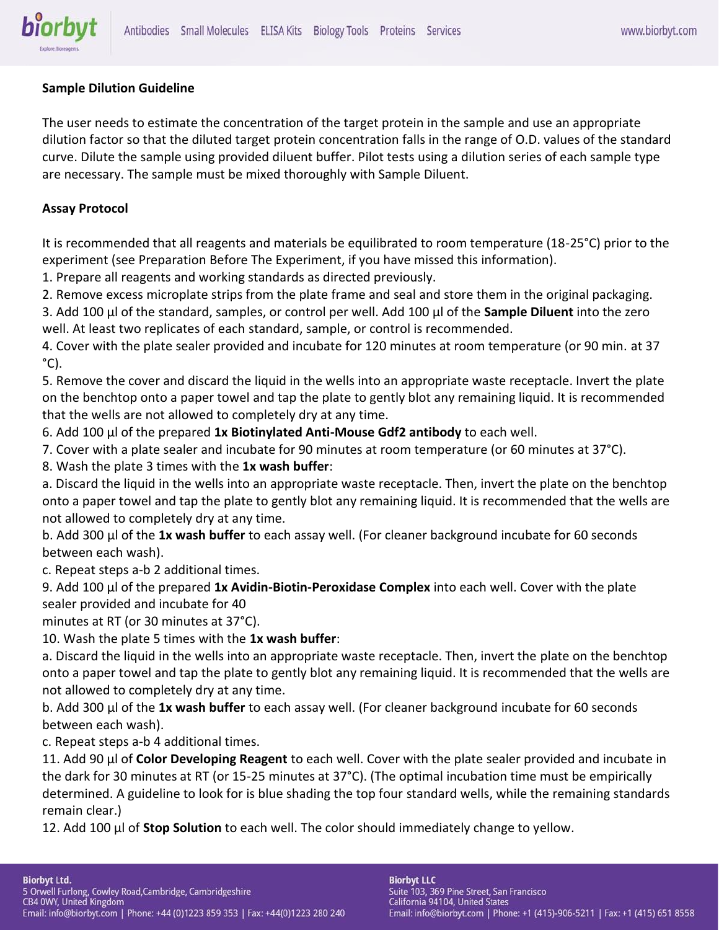

# **Sample Dilution Guideline**

The user needs to estimate the concentration of the target protein in the sample and use an appropriate dilution factor so that the diluted target protein concentration falls in the range of O.D. values of the standard curve. Dilute the sample using provided diluent buffer. Pilot tests using a dilution series of each sample type are necessary. The sample must be mixed thoroughly with Sample Diluent.

#### **Assay Protocol**

It is recommended that all reagents and materials be equilibrated to room temperature (18-25°C) prior to the experiment (see Preparation Before The Experiment, if you have missed this information).

1. Prepare all reagents and working standards as directed previously.

2. Remove excess microplate strips from the plate frame and seal and store them in the original packaging.

3. Add 100 μl of the standard, samples, or control per well. Add 100 μl of the **Sample Diluent** into the zero well. At least two replicates of each standard, sample, or control is recommended.

4. Cover with the plate sealer provided and incubate for 120 minutes at room temperature (or 90 min. at 37  $^{\circ}$ C).

5. Remove the cover and discard the liquid in the wells into an appropriate waste receptacle. Invert the plate on the benchtop onto a paper towel and tap the plate to gently blot any remaining liquid. It is recommended that the wells are not allowed to completely dry at any time.

6. Add 100 μl of the prepared **1x Biotinylated Anti-Mouse Gdf2 antibody** to each well.

7. Cover with a plate sealer and incubate for 90 minutes at room temperature (or 60 minutes at 37°C).

8. Wash the plate 3 times with the **1x wash buffer**:

a. Discard the liquid in the wells into an appropriate waste receptacle. Then, invert the plate on the benchtop onto a paper towel and tap the plate to gently blot any remaining liquid. It is recommended that the wells are not allowed to completely dry at any time.

b. Add 300 μl of the **1x wash buffer** to each assay well. (For cleaner background incubate for 60 seconds between each wash).

c. Repeat steps a-b 2 additional times.

9. Add 100 μl of the prepared **1x Avidin-Biotin-Peroxidase Complex** into each well. Cover with the plate sealer provided and incubate for 40

minutes at RT (or 30 minutes at 37°C).

10. Wash the plate 5 times with the **1x wash buffer**:

a. Discard the liquid in the wells into an appropriate waste receptacle. Then, invert the plate on the benchtop onto a paper towel and tap the plate to gently blot any remaining liquid. It is recommended that the wells are not allowed to completely dry at any time.

b. Add 300 μl of the **1x wash buffer** to each assay well. (For cleaner background incubate for 60 seconds between each wash).

c. Repeat steps a-b 4 additional times.

11. Add 90 μl of **Color Developing Reagent** to each well. Cover with the plate sealer provided and incubate in the dark for 30 minutes at RT (or 15-25 minutes at 37°C). (The optimal incubation time must be empirically determined. A guideline to look for is blue shading the top four standard wells, while the remaining standards remain clear.)

12. Add 100 μl of **Stop Solution** to each well. The color should immediately change to yellow.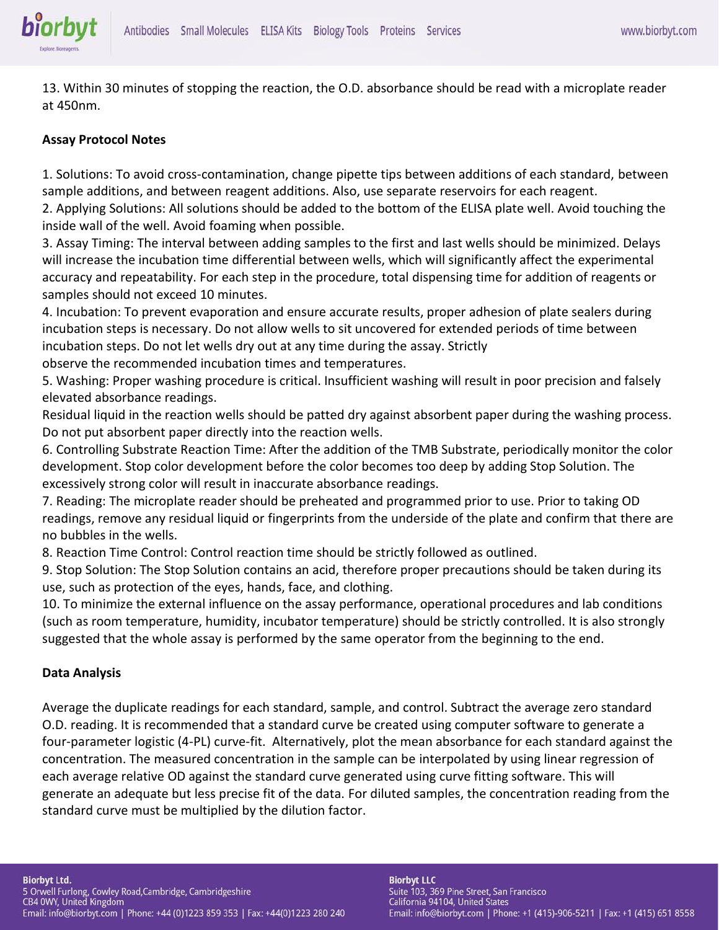13. Within 30 minutes of stopping the reaction, the O.D. absorbance should be read with a microplate reader at 450nm.

# **Assay Protocol Notes**

biorbyt

1. Solutions: To avoid cross-contamination, change pipette tips between additions of each standard, between sample additions, and between reagent additions. Also, use separate reservoirs for each reagent.

2. Applying Solutions: All solutions should be added to the bottom of the ELISA plate well. Avoid touching the inside wall of the well. Avoid foaming when possible.

3. Assay Timing: The interval between adding samples to the first and last wells should be minimized. Delays will increase the incubation time differential between wells, which will significantly affect the experimental accuracy and repeatability. For each step in the procedure, total dispensing time for addition of reagents or samples should not exceed 10 minutes.

4. Incubation: To prevent evaporation and ensure accurate results, proper adhesion of plate sealers during incubation steps is necessary. Do not allow wells to sit uncovered for extended periods of time between incubation steps. Do not let wells dry out at any time during the assay. Strictly observe the recommended incubation times and temperatures.

5. Washing: Proper washing procedure is critical. Insufficient washing will result in poor precision and falsely elevated absorbance readings.

Residual liquid in the reaction wells should be patted dry against absorbent paper during the washing process. Do not put absorbent paper directly into the reaction wells.

6. Controlling Substrate Reaction Time: After the addition of the TMB Substrate, periodically monitor the color development. Stop color development before the color becomes too deep by adding Stop Solution. The excessively strong color will result in inaccurate absorbance readings.

7. Reading: The microplate reader should be preheated and programmed prior to use. Prior to taking OD readings, remove any residual liquid or fingerprints from the underside of the plate and confirm that there are no bubbles in the wells.

8. Reaction Time Control: Control reaction time should be strictly followed as outlined.

9. Stop Solution: The Stop Solution contains an acid, therefore proper precautions should be taken during its use, such as protection of the eyes, hands, face, and clothing.

10. To minimize the external influence on the assay performance, operational procedures and lab conditions (such as room temperature, humidity, incubator temperature) should be strictly controlled. It is also strongly suggested that the whole assay is performed by the same operator from the beginning to the end.

#### **Data Analysis**

Average the duplicate readings for each standard, sample, and control. Subtract the average zero standard O.D. reading. It is recommended that a standard curve be created using computer software to generate a four-parameter logistic (4-PL) curve-fit. Alternatively, plot the mean absorbance for each standard against the concentration. The measured concentration in the sample can be interpolated by using linear regression of each average relative OD against the standard curve generated using curve fitting software. This will generate an adequate but less precise fit of the data. For diluted samples, the concentration reading from the standard curve must be multiplied by the dilution factor.